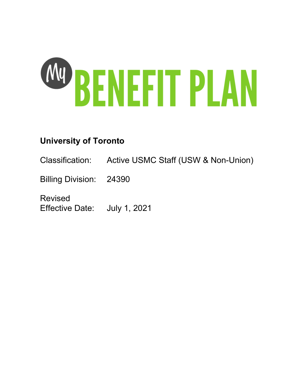

# **University of Toronto**

Classification: Active USMC Staff (USW & Non-Union)

Billing Division: 24390

Revised Effective Date: July 1, 2021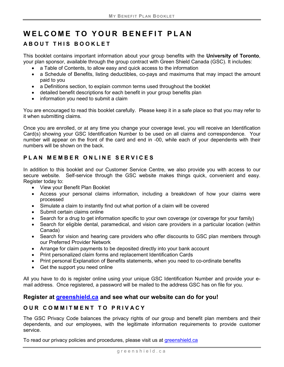# **WELCOME TO YOUR BENEFIT PLAN**

# **ABOUT THIS BOOKLET**

This booklet contains important information about your group benefits with the **University of Toronto**, your plan sponsor, available through the group contract with Green Shield Canada (GSC). It includes:

- a Table of Contents, to allow easy and quick access to the information
- a Schedule of Benefits, listing deductibles, co-pays and maximums that may impact the amount paid to you
- a Definitions section, to explain common terms used throughout the booklet
- detailed benefit descriptions for each benefit in your group benefits plan
- information you need to submit a claim

You are encouraged to read this booklet carefully. Please keep it in a safe place so that you may refer to it when submitting claims.

Once you are enrolled, or at any time you change your coverage level, you will receive an Identification Card(s) showing your GSC Identification Number to be used on all claims and correspondence. Your number will appear on the front of the card and end in -00, while each of your dependents with their numbers will be shown on the back.

# **PLAN MEMBER ONLINE SERVICES**

In addition to this booklet and our Customer Service Centre, we also provide you with access to our secure website. Self-service through the GSC website makes things quick, convenient and easy. Register today to:

- View your Benefit Plan Booklet
- Access your personal claims information, including a breakdown of how your claims were processed
- Simulate a claim to instantly find out what portion of a claim will be covered
- Submit certain claims online
- Search for a drug to get information specific to your own coverage (or coverage for your family)
- Search for eligible dental, paramedical, and vision care providers in a particular location (within Canada)
- Search for vision and hearing care providers who offer discounts to GSC plan members through our Preferred Provider Network
- Arrange for claim payments to be deposited directly into your bank account
- Print personalized claim forms and replacement Identification Cards
- Print personal Explanation of Benefits statements, when you need to co-ordinate benefits
- Get the support you need online

All you have to do is register online using your unique GSC Identification Number and provide your email address. Once registered, a password will be mailed to the address GSC has on file for you.

# **Register at [greenshield.ca](http://www.greenshield.ca/) and see what our website can do for you!**

# **OUR COMMITMENT TO PRIVACY**

The GSC Privacy Code balances the privacy rights of our group and benefit plan members and their dependents, and our employees, with the legitimate information requirements to provide customer service.

To read our privacy policies and procedures, please visit us at [greenshield.ca](http://www.greenshield.ca/)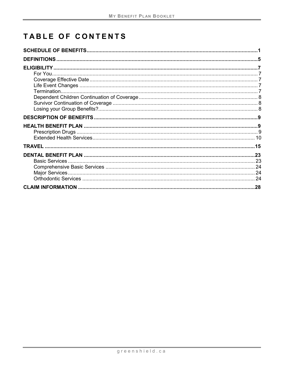# **TABLE OF CONTENTS**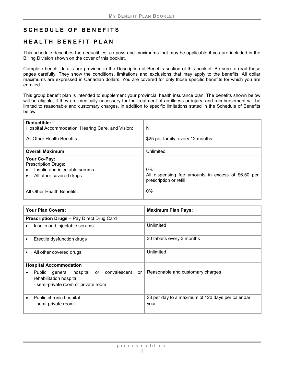# <span id="page-6-0"></span>**SCHEDULE OF BENEFITS**

# **HEALTH BENEFIT PLAN**

This schedule describes the deductibles, co-pays and maximums that may be applicable if you are included in the Billing Division shown on the cover of this booklet.

Complete benefit details are provided in the Description of Benefits section of this booklet. Be sure to read these pages carefully. They show the conditions, limitations and exclusions that may apply to the benefits. All dollar maximums are expressed in Canadian dollars. You are covered for only those specific benefits for which you are enrolled.

This group benefit plan is intended to supplement your provincial health insurance plan. The benefits shown below will be eligible, if they are medically necessary for the treatment of an illness or injury, and reimbursement will be limited to reasonable and customary charges, in addition to specific limitations stated in the Schedule of Benefits below.

| Deductible:<br>Hospital Accommodation, Hearing Care, and Vision:<br>All Other Health Benefits:         | Nil<br>\$25 per family, every 12 months                                               |
|--------------------------------------------------------------------------------------------------------|---------------------------------------------------------------------------------------|
| <b>Overall Maximum:</b>                                                                                | Unlimited                                                                             |
| Your Co-Pay:<br><b>Prescription Drugs:</b><br>Insulin and injectable serums<br>All other covered drugs | $0\%$<br>All dispensing fee amounts in excess of \$6.50 per<br>prescription or refill |
| All Other Health Benefits:                                                                             | $0\%$                                                                                 |

|           | <b>Your Plan Covers:</b>                                                                                        | <b>Maximum Plan Pays:</b>                                 |
|-----------|-----------------------------------------------------------------------------------------------------------------|-----------------------------------------------------------|
|           | <b>Prescription Drugs</b> - Pay Direct Drug Card                                                                |                                                           |
| $\bullet$ | Insulin and injectable serums                                                                                   | Unlimited                                                 |
|           | Erectile dysfunction drugs                                                                                      | 30 tablets every 3 months                                 |
|           | All other covered drugs                                                                                         | Unlimited                                                 |
|           | <b>Hospital Accommodation</b>                                                                                   |                                                           |
| $\bullet$ | Public general hospital or convalescent<br>or<br>rehabilitation hospital<br>- semi-private room or private room | Reasonable and customary charges                          |
| $\bullet$ | Public chronic hospital<br>- semi-private room                                                                  | \$3 per day to a maximum of 120 days per calendar<br>year |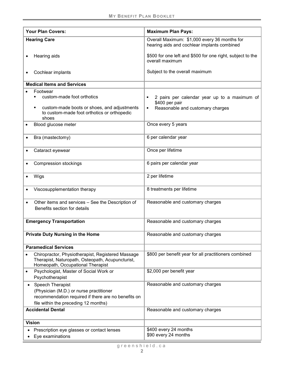|               | <b>Your Plan Covers:</b>                                                                                                                                   | <b>Maximum Plan Pays:</b>                                                                               |
|---------------|------------------------------------------------------------------------------------------------------------------------------------------------------------|---------------------------------------------------------------------------------------------------------|
|               | <b>Hearing Care</b>                                                                                                                                        | Overall Maximum: \$1,000 every 36 months for<br>hearing aids and cochlear implants combined             |
|               | Hearing aids                                                                                                                                               | \$500 for one left and \$500 for one right, subject to the<br>overall maximum                           |
|               | Cochlear implants                                                                                                                                          | Subject to the overall maximum                                                                          |
|               | <b>Medical Items and Services</b>                                                                                                                          |                                                                                                         |
| ٠             | Footwear<br>custom-made foot orthotics<br>custom-made boots or shoes, and adjustments<br>to custom-made foot orthotics or orthopedic                       | 2 pairs per calendar year up to a maximum of<br>\$400 per pair<br>Reasonable and customary charges<br>٠ |
|               | shoes<br>Blood glucose meter                                                                                                                               | Once every 5 years                                                                                      |
|               | Bra (mastectomy)                                                                                                                                           | 6 per calendar year                                                                                     |
|               | Cataract eyewear                                                                                                                                           | Once per lifetime                                                                                       |
|               | Compression stockings                                                                                                                                      | 6 pairs per calendar year                                                                               |
| Wigs          |                                                                                                                                                            | 2 per lifetime                                                                                          |
|               | Viscosupplementation therapy                                                                                                                               | 8 treatments per lifetime                                                                               |
|               | Other items and services - See the Description of<br>Benefits section for details                                                                          | Reasonable and customary charges                                                                        |
|               | <b>Emergency Transportation</b>                                                                                                                            | Reasonable and customary charges                                                                        |
|               | <b>Private Duty Nursing in the Home</b>                                                                                                                    | Reasonable and customary charges                                                                        |
|               | <b>Paramedical Services</b>                                                                                                                                |                                                                                                         |
|               | Chiropractor, Physiotherapist, Registered Massage<br>Therapist, Naturopath, Osteopath, Acupuncturist,<br>Homeopath, Occupational Therapist                 | \$800 per benefit year for all practitioners combined                                                   |
|               | Psychologist, Master of Social Work or<br>Psychotherapist                                                                                                  | \$2,000 per benefit year                                                                                |
|               | Speech Therapist<br>(Physician (M.D.) or nurse practitioner<br>recommendation required if there are no benefits on<br>file within the preceding 12 months) | Reasonable and customary charges                                                                        |
|               | <b>Accidental Dental</b>                                                                                                                                   | Reasonable and customary charges                                                                        |
| <b>Vision</b> |                                                                                                                                                            |                                                                                                         |
|               | Prescription eye glasses or contact lenses<br>Eye examinations                                                                                             | \$400 every 24 months<br>\$90 every 24 months                                                           |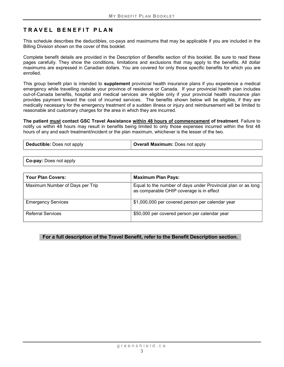# **TRAVEL BENEFIT PLAN**

This schedule describes the deductibles, co-pays and maximums that may be applicable if you are included in the Billing Division shown on the cover of this booklet.

Complete benefit details are provided in the Description of Benefits section of this booklet. Be sure to read these pages carefully. They show the conditions, limitations and exclusions that may apply to the benefits. All dollar maximums are expressed in Canadian dollars. You are covered for only those specific benefits for which you are enrolled.

This group benefit plan is intended to **supplement** provincial health insurance plans if you experience a medical emergency while travelling outside your province of residence or Canada. If your provincial health plan includes out-of-Canada benefits, hospital and medical services are eligible only if your provincial health insurance plan provides payment toward the cost of incurred services. The benefits shown below will be eligible, if they are medically necessary for the emergency treatment of a sudden illness or injury and reimbursement will be limited to reasonable and customary charges for the area in which they are incurred.

**The patient must contact GSC Travel Assistance within 48 hours of commencement of treatment**. Failure to notify us within 48 hours may result in benefits being limited to only those expenses incurred within the first 48 hours of any and each treatment/incident or the plan maximum, whichever is the lesser of the two.

| Deductible: Does not apply | <b>Overall Maximum:</b> Does not apply |
|----------------------------|----------------------------------------|
|----------------------------|----------------------------------------|

**Co-pay:** Does not apply

| <b>Your Plan Covers:</b>        | <b>Maximum Plan Pays:</b>                                                                                |
|---------------------------------|----------------------------------------------------------------------------------------------------------|
| Maximum Number of Days per Trip | Equal to the number of days under Provincial plan or as long<br>as comparable OHIP coverage is in effect |
| <b>Emergency Services</b>       | \$1,000,000 per covered person per calendar year                                                         |
| <b>Referral Services</b>        | \$50,000 per covered person per calendar year                                                            |

#### **For a full description of the Travel Benefit, refer to the Benefit Description section.**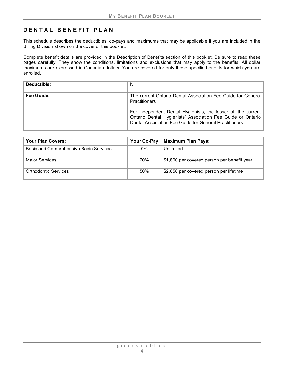# **DENTAL BENEFIT PLAN**

This schedule describes the deductibles, co-pays and maximums that may be applicable if you are included in the Billing Division shown on the cover of this booklet.

Complete benefit details are provided in the Description of Benefits section of this booklet. Be sure to read these pages carefully. They show the conditions, limitations and exclusions that may apply to the benefits. All dollar maximums are expressed in Canadian dollars. You are covered for only those specific benefits for which you are enrolled.

| Deductible: | Nil                                                                                                                                                                                                                                                                            |
|-------------|--------------------------------------------------------------------------------------------------------------------------------------------------------------------------------------------------------------------------------------------------------------------------------|
| Fee Guide:  | The current Ontario Dental Association Fee Guide for General<br><b>Practitioners</b><br>For independent Dental Hygienists, the lesser of, the current<br>Ontario Dental Hygienists' Association Fee Guide or Ontario<br>Dental Association Fee Guide for General Practitioners |
|             |                                                                                                                                                                                                                                                                                |

| <b>Your Plan Covers:</b>               | Your Co-Pay | <b>Maximum Plan Pays:</b>                   |
|----------------------------------------|-------------|---------------------------------------------|
| Basic and Comprehensive Basic Services | 0%          | Unlimited                                   |
| <b>Major Services</b>                  | <b>20%</b>  | \$1,800 per covered person per benefit year |
| <b>Orthodontic Services</b>            | 50%         | \$2,650 per covered person per lifetime     |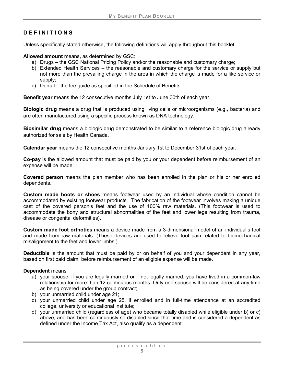# <span id="page-10-0"></span>**DEF INITIONS**

Unless specifically stated otherwise, the following definitions will apply throughout this booklet.

**Allowed amount** means**,** as determined by GSC:

- a) Drugs the GSC National Pricing Policy and/or the reasonable and customary charge;
- b) Extended Health Services the reasonable and customary charge for the service or supply but not more than the prevailing charge in the area in which the charge is made for a like service or supply;
- c) Dental the fee guide as specified in the Schedule of Benefits.

**Benefit year** means the 12 consecutive months July 1st to June 30th of each year.

**Biologic drug** means a drug that is produced using living cells or microorganisms (e.g., bacteria) and are often manufactured using a specific process known as DNA technology.

<span id="page-10-1"></span>**Biosimilar drug** means a biologic drug demonstrated to be similar to a reference biologic drug already authorized for sale by Health Canada.

**Calendar year** means the 12 consecutive months January 1st to December 31st of each year.

**Co-pay** is the allowed amount that must be paid by you or your dependent before reimbursement of an expense will be made.

**Covered person** means the plan member who has been enrolled in the plan or his or her enrolled dependents.

**Custom made boots or shoes** means footwear used by an individual whose condition cannot be accommodated by existing footwear products. The fabrication of the footwear involves making a unique cast of the covered person's feet and the use of 100% raw materials. (This footwear is used to accommodate the bony and structural abnormalities of the feet and lower legs resulting from trauma, disease or congenital deformities).

**Custom made foot orthotics** means a device made from a 3-dimensional model of an individual's foot and made from raw materials. (These devices are used to relieve foot pain related to biomechanical misalignment to the feet and lower limbs.)

**Deductible** is the amount that must be paid by or on behalf of you and your dependent in any year, based on first paid claim, before reimbursement of an eligible expense will be made.

#### **Dependent** means

- a) your spouse, if you are legally married or if not legally married, you have lived in a common-law relationship for more than 12 continuous months. Only one spouse will be considered at any time as being covered under the group contract;
- b) your unmarried child under age 21;
- c) your unmarried child under age 25, if enrolled and in full-time attendance at an accredited college, university or educational institute;
- d) your unmarried child (regardless of age) who became totally disabled while eligible under b) or c) above, and has been continuously so disabled since that time and is considered a dependent as defined under the Income Tax Act, also qualify as a dependent.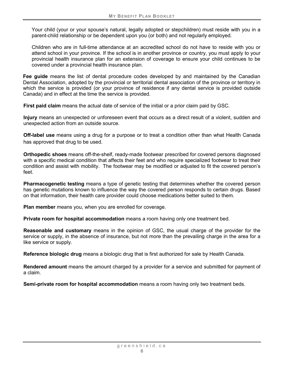Your child (your or your spouse's natural, legally adopted or stepchildren) must reside with you in a parent-child relationship or be dependent upon you (or both) and not regularly employed.

Children who are in full-time attendance at an accredited school do not have to reside with you or attend school in your province. If the school is in another province or country, you must apply to your provincial health insurance plan for an extension of coverage to ensure your child continues to be covered under a provincial health insurance plan.

**Fee guide** means the list of dental procedure codes developed by and maintained by the Canadian Dental Association, adopted by the provincial or territorial dental association of the province or territory in which the service is provided (or your province of residence if any dental service is provided outside Canada) and in effect at the time the service is provided.

**First paid claim** means the actual date of service of the initial or a prior claim paid by GSC.

**Injury** means an unexpected or unforeseen event that occurs as a direct result of a violent, sudden and unexpected action from an outside source.

<span id="page-11-1"></span>**Off-label use** means using a drug for a purpose or to treat a condition other than what Health Canada has approved that drug to be used.

**Orthopedic shoes** means off-the-shelf, ready-made footwear prescribed for covered persons diagnosed with a specific medical condition that affects their feet and who require specialized footwear to treat their condition and assist with mobility. The footwear may be modified or adjusted to fit the covered person's feet.

**Pharmacogenetic testing** means a type of genetic testing that determines whether the covered person has genetic mutations known to influence the way the covered person responds to certain drugs. Based on that information, their health care provider could choose medications better suited to them.

**Plan member** means you, when you are enrolled for coverage.

**Private room for hospital accommodation** means a room having only one treatment bed.

**Reasonable and customary** means in the opinion of GSC, the usual charge of the provider for the service or supply, in the absence of insurance, but not more than the prevailing charge in the area for a like service or supply.

<span id="page-11-0"></span>**Reference biologic drug** means a biologic drug that is first authorized for sale by Health Canada.

**Rendered amount** means the amount charged by a provider for a service and submitted for payment of a claim.

**Semi-private room for hospital accommodation** means a room having only two treatment beds.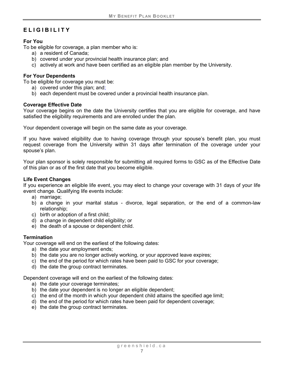# <span id="page-12-0"></span>**ELIGIBILITY**

#### <span id="page-12-1"></span>**For You**

To be eligible for coverage, a plan member who is:

- a) a resident of Canada;
- b) covered under your provincial health insurance plan; and
- c) actively at work and have been certified as an eligible plan member by the University.

#### **For Your Dependents**

To be eligible for coverage you must be:

- a) covered under this plan; and;
- b) each dependent must be covered under a provincial health insurance plan.

#### <span id="page-12-2"></span>**Coverage Effective Date**

Your coverage begins on the date the University certifies that you are eligible for coverage, and have satisfied the eligibility requirements and are enrolled under the plan.

Your dependent coverage will begin on the same date as your coverage.

If you have waived eligibility due to having coverage through your spouse's benefit plan, you must request coverage from the University within 31 days after termination of the coverage under your spouse's plan.

Your plan sponsor is solely responsible for submitting all required forms to GSC as of the Effective Date of this plan or as of the first date that you become eligible.

#### <span id="page-12-3"></span>**Life Event Changes**

If you experience an eligible life event, you may elect to change your coverage with 31 days of your life event change. Qualifying life events include:

- a) marriage;
- b) a change in your marital status divorce, legal separation, or the end of a common-law relationship;
- c) birth or adoption of a first child;
- d) a change in dependent child eligibility; or
- e) the death of a spouse or dependent child.

#### <span id="page-12-4"></span>**Termination**

Your coverage will end on the earliest of the following dates:

- a) the date your employment ends;
- b) the date you are no longer actively working, or your approved leave expires;
- c) the end of the period for which rates have been paid to GSC for your coverage;
- d) the date the group contract terminates.

Dependent coverage will end on the earliest of the following dates:

- a) the date your coverage terminates;
- b) the date your dependent is no longer an eligible dependent;
- c) the end of the month in which your dependent child attains the specified age limit;
- d) the end of the period for which rates have been paid for dependent coverage;
- e) the date the group contract terminates.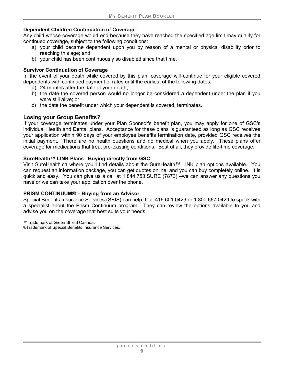#### <span id="page-13-0"></span>**Dependent Children Continuation of Coverage**

Any child whose coverage would end because they have reached the specified age limit may qualify for continued coverage, subject to the following conditions:

- a) your child became dependent upon you by reason of a mental or physical disability prior to reaching this age; and
- b) your child has been continuously so disabled since that time.

#### <span id="page-13-1"></span>**Survivor Continuation of Coverage**

In the event of your death while covered by this plan, coverage will continue for your eligible covered dependents with continued payment of rates until the earliest of the following dates:

- a) 24 months after the date of your death;
- b) the date the covered person would no longer be considered a dependent under the plan if you were still alive; or
- c) the date the benefit under which your dependent is covered, terminates.

# <span id="page-13-2"></span>**Losing your Group Benefits?**

If your coverage terminates under your Plan Sponsor's benefit plan, you may apply for one of GSC's individual Health and Dental plans. Acceptance for these plans is guaranteed as long as GSC receives your application within 90 days of your employee benefits termination date, provided GSC receives the initial payment. There are no health questions and no medical when you apply. These plans offer coverage for medications that treat pre-existing conditions. Best of all, they provide life-time coverage.

#### **SureHealth™ LINK Plans**– **Buying directly from GSC**

Visit [SureHealth.ca](http://surehealth.ca/) where you'll find details about the SureHealth™ LINK plan options available. You can request an information package, you can get quotes online, and you can buy completely online. It is quick and easy. You can give us a call at 1.844.753.SURE (7873) –we can answer any questions you have or we can take your application over the phone.

#### **PRISM CONTINUUM® – Buying from an Advisor**

Special Benefits Insurance Services (SBIS) can help. Call 416.601.0429 or 1.800.667.0429 to speak with a specialist about the Prism Continuum program. They can review the options available to you and advise you on the coverage that best suits your needs.

™Trademark of Green Shield Canada. ®Trademark of Special Benefits Insurance Services.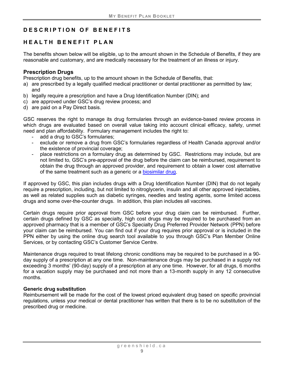# <span id="page-14-0"></span>**DESCRIPTION OF BENEFITS**

# <span id="page-14-1"></span>**HEALTH BENEFIT PLAN**

The benefits shown below will be eligible, up to the amount shown in the Schedule of Benefits, if they are reasonable and customary, and are medically necessary for the treatment of an illness or injury.

#### <span id="page-14-2"></span>**Prescription Drugs**

Prescription drug benefits, up to the amount shown in the Schedule of Benefits, that:

- a) are prescribed by a legally qualified medical practitioner or dental practitioner as permitted by law; and
- b) legally require a prescription and have a Drug Identification Number (DIN); and
- c) are approved under GSC's drug review process; and
- d) are paid on a Pay Direct basis.

GSC reserves the right to manage its drug formularies through an evidence-based review process in which drugs are evaluated based on overall value taking into account clinical efficacy, safety, unmet need and plan affordability. Formulary management includes the right to:

- add a drug to GSC's formularies;
- exclude or remove a drug from GSC's formularies regardless of Health Canada approval and/or the existence of provincial coverage;
- place restrictions on a formulary drug as determined by GSC. Restrictions may include, but are not limited to, GSC's pre-approval of the drug before the claim can be reimbursed, requirement to obtain the drug through an approved provider, and requirement to obtain a lower cost alternative of the same treatment such as a generic or a [biosimilar drug.](#page-10-1)

If approved by GSC, this plan includes drugs with a Drug Identification Number (DIN) that do not legally require a prescription, including, but not limited to nitroglycerin, insulin and all other approved injectables, as well as related supplies such as diabetic syringes, needles and testing agents, some limited access drugs and some over-the-counter drugs. In addition, this plan includes all vaccines.

Certain drugs require prior approval from GSC before your drug claim can be reimbursed. Further, certain drugs defined by GSC as specialty, high cost drugs may be required to be purchased from an approved pharmacy that is a member of GSC's Specialty Drug Preferred Provider Network (PPN) before your claim can be reimbursed. You can find out if your drug requires prior approval or is included in the PPN either by using the online drug search tool available to you through GSC's Plan Member Online Services, or by contacting GSC's Customer Service Centre.

Maintenance drugs required to treat lifelong chronic conditions may be required to be purchased in a 90 day supply of a prescription at any one time. Non-maintenance drugs may be purchased in a supply not exceeding 3 months' (90-day) supply of a prescription at any one time. However, for all drugs, 6 months for a vacation supply may be purchased and not more than a 13-month supply in any 12 consecutive months.

#### **Generic drug substitution**

Reimbursement will be made for the cost of the lowest priced equivalent drug based on specific provincial regulations, unless your medical or dental practitioner has written that there is to be no substitution of the prescribed drug or medicine.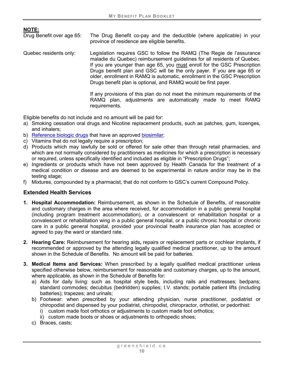**NOTE:**

The Drug Benefit co-pay and the deductible (where applicable) in your province of residence are eligible benefits.

Quebec residents only: Legislation requires GSC to follow the RAMQ (The Regie de l'assurance maladie du Quebec) reimbursement guidelines for all residents of Quebec. If you are younger than age 65, you must enroll for the GSC Prescription Drugs benefit plan and GSC will be the only payer. If you are age 65 or older, enrollment in RAMQ is automatic, enrollment in the GSC Prescription Drugs benefit plan is optional, and RAMQ would be first payer.

> If any provisions of this plan do not meet the minimum requirements of the RAMQ plan, adjustments are automatically made to meet RAMQ requirements.

Eligible benefits do not include and no amount will be paid for:

- a) Smoking cessation oral drugs and Nicotine replacement products, such as patches, gum, lozenges, and inhalers;
- b) Reference [biologic drugs](#page-11-0) that have an approved [biosimilar;](#page-10-1)
- c) Vitamins that do not legally require a prescription;
- d) Products which may lawfully be sold or offered for sale other than through retail pharmacies, and which are not normally considered by practitioners as medicines for which a prescription is necessary or required, unless specifically identified and included as eligible in "Prescription Drugs";
- e) Ingredients or products which have not been approved by Health Canada for the treatment of a medical condition or disease and are deemed to be experimental in nature and/or may be in the testing stage;
- f) Mixtures, compounded by a pharmacist, that do not conform to GSC's current Compound Policy.

#### <span id="page-15-0"></span>**Extended Health Services**

- **1. Hospital Accommodation:** Reimbursement, as shown in the Schedule of Benefits, of reasonable and customary charges in the area where received, for accommodation in a public general hospital (including program treatment accommodation), or a convalescent or rehabilitation hospital or a convalescent or rehabilitation wing in a public general hospital, or a public chronic hospital or chronic care in a public general hospital, provided your provincial health insurance plan has accepted or agreed to pay the ward or standard rate.
- **2. Hearing Care:** Reimbursement for hearing aids**,** repairs or replacement parts or cochlear implants, if recommended or approved by the attending legally qualified medical practitioner, up to the amount shown in the Schedule of Benefits. No amount will be paid for batteries.
- **3. Medical Items and Services:** When prescribed by a legally qualified medical practitioner unless specified otherwise below, reimbursement for reasonable and customary charges, up to the amount, where applicable, as shown in the Schedule of Benefits for:
	- a) Aids for daily living: such as hospital style beds, including rails and mattresses; bedpans; standard commodes; decubitus (bedridden) supplies; I.V. stands; portable patient lifts (including batteries); trapezes; and urinals;
	- b) Footwear: when prescribed by your attending physician, nurse practitioner, podiatrist or chiropodist and dispensed by your podiatrist, chiropodist, chiropractor, orthotist, or pedorthist:
		- i) custom made foot orthotics or adjustments to custom made foot orthotics;
		- ii) custom made boots or shoes or adjustments to orthopedic shoes;
	- c) Braces, casts;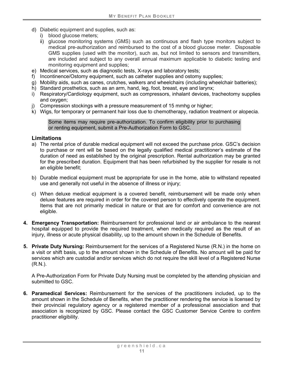- d) Diabetic equipment and supplies, such as:
	- i) blood glucose meters;
	- ii) glucose monitoring systems (GMS) such as continuous and flash type monitors subject to medical pre-authorization and reimbursed to the cost of a blood glucose meter. Disposable GMS supplies (used with the monitor), such as, but not limited to sensors and transmitters, are included and subject to any overall annual maximum applicable to diabetic testing and monitoring equipment and supplies;
- e) Medical services, such as diagnostic tests, X-rays and laboratory tests;
- f) Incontinence/Ostomy equipment, such as catheter supplies and ostomy supplies;
- g) Mobility aids, such as canes, crutches, walkers and wheelchairs (including wheelchair batteries);
- h) Standard prosthetics, such as an arm, hand, leg, foot, breast, eye and larynx;
- i) Respiratory/Cardiology equipment, such as compressors, inhalant devices, tracheotomy supplies and oxygen;
- j) Compression stockings with a pressure measurement of 15 mmhg or higher;
- k) Wigs, for temporary or permanent hair loss due to chemotherapy, radiation treatment or alopecia.

Some items may require pre-authorization. To confirm eligibility prior to purchasing or renting equipment, submit a Pre-Authorization Form to GSC.

#### **Limitations**

- a) The rental price of durable medical equipment will not exceed the purchase price. GSC's decision to purchase or rent will be based on the legally qualified medical practitioner's estimate of the duration of need as established by the original prescription. Rental authorization may be granted for the prescribed duration. Equipment that has been refurbished by the supplier for resale is not an eligible benefit;
- b) Durable medical equipment must be appropriate for use in the home, able to withstand repeated use and generally not useful in the absence of illness or injury;
- c) When deluxe medical equipment is a covered benefit, reimbursement will be made only when deluxe features are required in order for the covered person to effectively operate the equipment. Items that are not primarily medical in nature or that are for comfort and convenience are not eligible.
- **4. Emergency Transportation:** Reimbursement for professional land or air ambulance to the nearest hospital equipped to provide the required treatment, when medically required as the result of an injury, illness or acute physical disability, up to the amount shown in the Schedule of Benefits.
- **5. Private Duty Nursing:** Reimbursement for the services of a Registered Nurse (R.N.) in the home on a visit or shift basis, up to the amount shown in the Schedule of Benefits. No amount will be paid for services which are custodial and/or services which do not require the skill level of a Registered Nurse (R.N.).

A Pre-Authorization Form for Private Duty Nursing must be completed by the attending physician and submitted to GSC.

**6. Paramedical Services:** Reimbursement for the services of the practitioners included, up to the amount shown in the Schedule of Benefits, when the practitioner rendering the service is licensed by their provincial regulatory agency or a registered member of a professional association and that association is recognized by GSC. Please contact the GSC Customer Service Centre to confirm practitioner eligibility.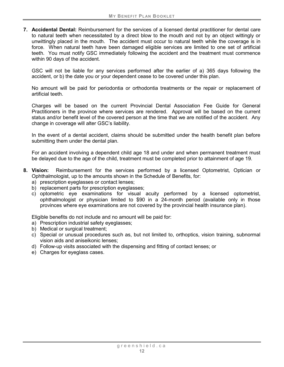**7. Accidental Dental:** Reimbursement for the services of a licensed dental practitioner for dental care to natural teeth when necessitated by a direct blow to the mouth and not by an object wittingly or unwittingly placed in the mouth. The accident must occur to natural teeth while the coverage is in force. When natural teeth have been damaged eligible services are limited to one set of artificial teeth. You must notify GSC immediately following the accident and the treatment must commence within 90 days of the accident.

GSC will not be liable for any services performed after the earlier of a) 365 days following the accident, or b) the date you or your dependent cease to be covered under this plan.

No amount will be paid for periodontia or orthodontia treatments or the repair or replacement of artificial teeth.

Charges will be based on the current Provincial Dental Association Fee Guide for General Practitioners in the province where services are rendered. Approval will be based on the current status and/or benefit level of the covered person at the time that we are notified of the accident. Any change in coverage will alter GSC's liability.

In the event of a dental accident, claims should be submitted under the health benefit plan before submitting them under the dental plan.

For an accident involving a dependent child age 18 and under and when permanent treatment must be delayed due to the age of the child, treatment must be completed prior to attainment of age 19.

- **8. Vision:** Reimbursement for the services performed by a licensed Optometrist, Optician or Ophthalmologist, up to the amounts shown in the Schedule of Benefits, for:
	- a) prescription eyeglasses or contact lenses;
	- b) replacement parts for prescription eyeglasses;
	- c) optometric eye examinations for visual acuity performed by a licensed optometrist, ophthalmologist or physician limited to \$90 in a 24-month period (available only in those provinces where eye examinations are not covered by the provincial health insurance plan).

Eligible benefits do not include and no amount will be paid for:

- a) Prescription industrial safety eyeglasses;
- b) Medical or surgical treatment;
- c) Special or unusual procedures such as, but not limited to, orthoptics, vision training, subnormal vision aids and aniseikonic lenses;
- d) Follow-up visits associated with the dispensing and fitting of contact lenses; or
- e) Charges for eyeglass cases.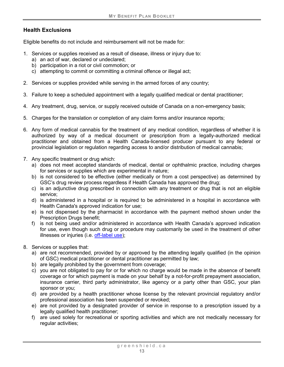# **Health Exclusions**

Eligible benefits do not include and reimbursement will not be made for:

- 1. Services or supplies received as a result of disease, illness or injury due to:
	- a) an act of war, declared or undeclared;
	- b) participation in a riot or civil commotion; or
	- c) attempting to commit or committing a criminal offence or illegal act;
- 2. Services or supplies provided while serving in the armed forces of any country;
- 3. Failure to keep a scheduled appointment with a legally qualified medical or dental practitioner;
- 4. Any treatment, drug, service, or supply received outside of Canada on a non-emergency basis;
- 5. Charges for the translation or completion of any claim forms and/or insurance reports;
- 6. Any form of medical cannabis for the treatment of any medical condition, regardless of whether it is authorized by way of a medical document or prescription from a legally-authorized medical practitioner and obtained from a Health Canada-licensed producer pursuant to any federal or provincial legislation or regulation regarding access to and/or distribution of medical cannabis;
- 7. Any specific treatment or drug which:
	- a) does not meet accepted standards of medical, dental or ophthalmic practice, including charges for services or supplies which are experimental in nature;
	- b) is not considered to be effective (either medically or from a cost perspective) as determined by GSC's drug review process regardless if Health Canada has approved the drug;
	- c) is an adjunctive drug prescribed in connection with any treatment or drug that is not an eligible service;
	- d) is administered in a hospital or is required to be administered in a hospital in accordance with Health Canada's approved indication for use;
	- e) is not dispensed by the pharmacist in accordance with the payment method shown under the Prescription Drugs benefit;
	- f) is not being used and/or administered in accordance with Health Canada's approved indication for use, even though such drug or procedure may customarily be used in the treatment of other illnesses or injuries (i.e. [off-label use\)](#page-11-1);
- 8. Services or supplies that:
	- a) are not recommended, provided by or approved by the attending legally qualified (in the opinion of GSC) medical practitioner or dental practitioner as permitted by law;
	- b) are legally prohibited by the government from coverage;
	- c) you are not obligated to pay for or for which no charge would be made in the absence of benefit coverage or for which payment is made on your behalf by a not-for-profit prepayment association, insurance carrier, third party administrator, like agency or a party other than GSC, your plan sponsor or you;
	- d) are provided by a health practitioner whose license by the relevant provincial regulatory and/or professional association has been suspended or revoked;
	- e) are not provided by a designated provider of service in response to a prescription issued by a legally qualified health practitioner;
	- f) are used solely for recreational or sporting activities and which are not medically necessary for regular activities;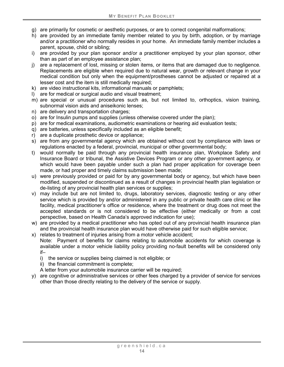- g) are primarily for cosmetic or aesthetic purposes, or are to correct congenital malformations;
- h) are provided by an immediate family member related to you by birth, adoption, or by marriage and/or a practitioner who normally resides in your home. An immediate family member includes a parent, spouse, child or sibling;
- i) are provided by your plan sponsor and/or a practitioner employed by your plan sponsor, other than as part of an employee assistance plan;
- j) are a replacement of lost, missing or stolen items, or items that are damaged due to negligence. Replacements are eligible when required due to natural wear, growth or relevant change in your medical condition but only when the equipment/prostheses cannot be adjusted or repaired at a lesser cost and the item is still medically required;
- k) are video instructional kits, informational manuals or pamphlets;
- l) are for medical or surgical audio and visual treatment;
- m) are special or unusual procedures such as, but not limited to, orthoptics, vision training, subnormal vision aids and aniseikonic lenses;
- n) are delivery and transportation charges;
- o) are for Insulin pumps and supplies (unless otherwise covered under the plan);
- p) are for medical examinations, audiometric examinations or hearing aid evaluation tests;
- q) are batteries, unless specifically included as an eligible benefit;
- r) are a duplicate prosthetic device or appliance;
- s) are from any governmental agency which are obtained without cost by compliance with laws or regulations enacted by a federal, provincial, municipal or other governmental body;
- t) would normally be paid through any provincial health insurance plan, Workplace Safety and Insurance Board or tribunal, the Assistive Devices Program or any other government agency, or which would have been payable under such a plan had proper application for coverage been made, or had proper and timely claims submission been made;
- u) were previously provided or paid for by any governmental body or agency, but which have been modified, suspended or discontinued as a result of changes in provincial health plan legislation or de-listing of any provincial health plan services or supplies;
- v) may include but are not limited to, drugs, laboratory services, diagnostic testing or any other service which is provided by and/or administered in any public or private health care clinic or like facility, medical practitioner's office or residence, where the treatment or drug does not meet the accepted standards or is not considered to be effective (either medically or from a cost perspective, based on Health Canada's approved indication for use);
- w) are provided by a medical practitioner who has opted out of any provincial health insurance plan and the provincial health insurance plan would have otherwise paid for such eligible service;
- x) relates to treatment of injuries arising from a motor vehicle accident; Note: Payment of benefits for claims relating to automobile accidents for which coverage is available under a motor vehicle liability policy providing no-fault benefits will be considered only if–
	- i) the service or supplies being claimed is not eligible; or
	- ii) the financial commitment is complete;

A letter from your automobile insurance carrier will be required;

y) are cognitive or administrative services or other fees charged by a provider of service for services other than those directly relating to the delivery of the service or supply.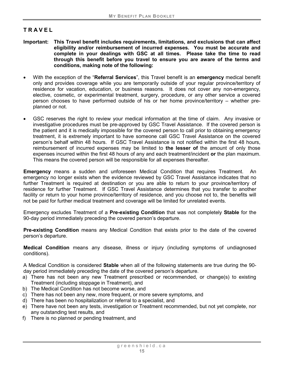# <span id="page-20-0"></span>**TRAVEL**

- **Important: This Travel benefit includes requirements, limitations, and exclusions that can affect eligibility and/or reimbursement of incurred expenses. You must be accurate and complete in your dealings with GSC at all times. Please take the time to read through this benefit before you travel to ensure you are aware of the terms and conditions, making note of the following:**
- With the exception of the "**Referral Services**", this Travel benefit is an **emergency** medical benefit only and provides coverage while you are temporarily outside of your regular province/territory of residence for vacation, education, or business reasons. It does not cover any non-emergency, elective, cosmetic, or experimental treatment, surgery, procedure, or any other service a covered person chooses to have performed outside of his or her home province/territory – whether preplanned or not.
- GSC reserves the right to review your medical information at the time of claim. Any invasive or investigative procedures must be pre-approved by GSC Travel Assistance. If the covered person is the patient and it is medically impossible for the covered person to call prior to obtaining emergency treatment, it is extremely important to have someone call GSC Travel Assistance on the covered person's behalf within 48 hours. If GSC Travel Assistance is not notified within the first 48 hours, reimbursement of incurred expenses may be limited to **the lesser of** the amount of only those expenses incurred within the first 48 hours of any and each treatment/incident **or** the plan maximum. This means the covered person will be responsible for all expenses thereafter.

**Emergency** means a sudden and unforeseen Medical Condition that requires Treatment. An emergency no longer exists when the evidence reviewed by GSC Travel Assistance indicates that no further Treatment is required at destination or you are able to return to your province/territory of residence for further Treatment. If GSC Travel Assistance determines that you transfer to another facility or return to your home province/territory of residence, and you choose not to, the benefits will not be paid for further medical treatment and coverage will be limited for unrelated events.

Emergency excludes Treatment of a **Pre-existing Condition** that was not completely **Stable** for the 90-day period immediately preceding the covered person's departure.

**Pre-existing Condition** means any Medical Condition that exists prior to the date of the covered person's departure.

**Medical Condition** means any disease, illness or injury (including symptoms of undiagnosed conditions).

<span id="page-20-1"></span>A Medical Condition is considered **Stable** when all of the following statements are true during the 90 day period immediately preceding the date of the covered person's departure.

- a) There has not been any new Treatment prescribed or recommended, or change(s) to existing Treatment (including stoppage in Treatment), and
- b) The Medical Condition has not become worse, and
- c) There has not been any new, more frequent, or more severe symptoms, and
- d) There has been no hospitalization or referral to a specialist, and
- e) There have not been any tests, investigation or Treatment recommended, but not yet complete, nor any outstanding test results, and
- f) There is no planned or pending treatment, and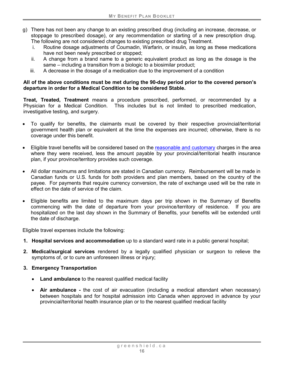- g) There has not been any change to an existing prescribed drug (including an increase, decrease, or stoppage to prescribed dosage), or any recommendation or starting of a new prescription drug. The following are not considered changes to existing prescribed drug Treatment.
	- i. Routine dosage adjustments of Coumadin, Warfarin, or insulin, as long as these medications have not been newly prescribed or stopped;
	- ii. A change from a brand name to a generic equivalent product as long as the dosage is the same – including a transition from a biologic to a biosimilar product;
	- iii. A decrease in the dosage of a medication due to the improvement of a condition

#### **All of the above conditions must be met during the 90-day period prior to the covered person's departure in order for a Medical Condition to be considered Stable.**

<span id="page-21-0"></span>**Treat, Treated, Treatment** means a procedure prescribed, performed, or recommended by a Physician for a Medical Condition. This includes but is not limited to prescribed medication, investigative testing, and surgery.

- To qualify for benefits, the claimants must be covered by their respective provincial/territorial government health plan or equivalent at the time the expenses are incurred; otherwise, there is no coverage under this benefit.
- Eligible travel benefits will be considered based on the reasonable and customary charges in the area where they were received, less the amount payable by your provincial/territorial health insurance plan, if your province/territory provides such coverage.
- All dollar maximums and limitations are stated in Canadian currency. Reimbursement will be made in Canadian funds or U.S. funds for both providers and plan members, based on the country of the payee. For payments that require currency conversion, the rate of exchange used will be the rate in effect on the date of service of the claim.
- Eligible benefits are limited to the maximum days per trip shown in the Summary of Benefits commencing with the date of departure from your province/territory of residence. If you are hospitalized on the last day shown in the Summary of Benefits, your benefits will be extended until the date of discharge.

Eligible travel expenses include the following:

- **1. Hospital services and accommodation** up to a standard ward rate in a public general hospital;
- **2. Medical/surgical services** rendered by a legally qualified physician or surgeon to relieve the symptoms of, or to cure an unforeseen illness or injury;
- **3. Emergency Transportation**
	- **Land ambulance** to the nearest qualified medical facility
	- **Air ambulance -** the cost of air evacuation (including a medical attendant when necessary) between hospitals and for hospital admission into Canada when approved in advance by your provincial/territorial health insurance plan or to the nearest qualified medical facility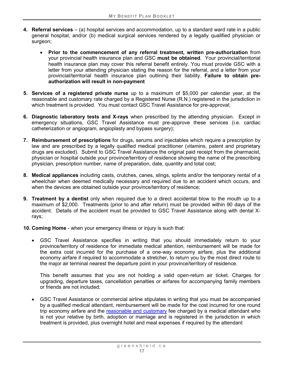- **4. Referral services** (a) hospital services and accommodation, up to a standard ward rate in a public general hospital, and/or (b) medical surgical services rendered by a legally qualified physician or surgeon:
	- **Prior to the commencement of any referral treatment, written pre-authorization** from your provincial health insurance plan and GSC **must be obtained**. Your provincial/territorial health insurance plan may cover this referral benefit entirely. You must provide GSC with a letter from your attending physician stating the reason for the referral, and a letter from your provincial/territorial health insurance plan outlining their liability. **Failure to obtain preauthorization will result in non-payment**
- **5. Services of a registered private nurse** up to a maximum of \$5,000 per calendar year, at the reasonable and customary rate charged by a Registered Nurse (R.N.) registered in the jurisdiction in which treatment is provided. You must contact GSC Travel Assistance for pre-approval;
- **6. Diagnostic laboratory tests and X-rays** when prescribed by the attending physician. Except in emergency situations, GSC Travel Assistance must pre-approve these services (i.e. cardiac catheterization or angiogram, angioplasty and bypass surgery);
- **7. Reimbursement of prescriptions** for drugs, serums and injectables which require a prescription by law and are prescribed by a legally qualified medical practitioner (vitamins, patent and proprietary drugs are excluded). Submit to GSC Travel Assistance the original paid receipt from the pharmacist, physician or hospital outside your province/territory of residence showing the name of the prescribing physician, prescription number, name of preparation, date, quantity and total cost;
- **8. Medical appliances** including casts, crutches, canes, slings, splints and/or the temporary rental of a wheelchair when deemed medically necessary and required due to an accident which occurs, and when the devices are obtained outside your province/territory of residence;
- **9. Treatment by a dentist** only when required due to a direct accidental blow to the mouth up to a maximum of \$2,000. Treatments (prior to and after return) must be provided within 90 days of the accident. Details of the accident must be provided to GSC Travel Assistance along with dental Xrays;
- **10. Coming Home** when your emergency illness or injury is such that:
	- GSC Travel Assistance specifies in writing that you should immediately return to your province/territory of residence for immediate medical attention, reimbursement will be made for the extra cost incurred for the purchase of a one-way economy airfare, plus the additional economy airfare if required to accommodate a stretcher, to return you by the most direct route to the major air terminal nearest the departure point in your province/territory of residence.

This benefit assumes that you are not holding a valid open-return air ticket. Charges for upgrading, departure taxes, cancellation penalties or airfares for accompanying family members or friends are not included;

• GSC Travel Assistance or commercial airline stipulates in writing that you must be accompanied by a qualified medical attendant, reimbursement will be made for the cost incurred for one round trip economy airfare and the reasonable and customary fee charged by a medical attendant who is not your relative by birth, adoption or marriage and is registered in the jurisdiction in which treatment is provided, plus overnight hotel and meal expenses if required by the attendant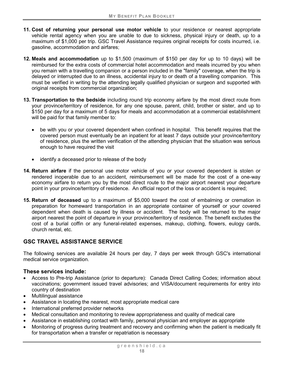- **11. Cost of returning your personal use motor vehicle** to your residence or nearest appropriate vehicle rental agency when you are unable to due to sickness, physical injury or death, up to a maximum of \$1,000 per trip. GSC Travel Assistance requires original receipts for costs incurred, i.e. gasoline, accommodation and airfares;
- **12. Meals and accommodation** up to \$1,500 (maximum of \$150 per day for up to 10 days) will be reimbursed for the extra costs of commercial hotel accommodation and meals incurred by you when you remain with a travelling companion or a person included in the "family" coverage, when the trip is delayed or interrupted due to an illness, accidental injury to or death of a travelling companion. This must be verified in writing by the attending legally qualified physician or surgeon and supported with original receipts from commercial organization;
- **13. Transportation to the bedside** including round trip economy airfare by the most direct route from your province/territory of residence, for any one spouse, parent, child, brother or sister, and up to \$150 per day for a maximum of 5 days for meals and accommodation at a commercial establishment will be paid for that family member to:
	- be with you or your covered dependent when confined in hospital. This benefit requires that the covered person must eventually be an inpatient for at least 7 days outside your province/territory of residence, plus the written verification of the attending physician that the situation was serious enough to have required the visit
	- identify a deceased prior to release of the body
- **14. Return airfare** if the personal use motor vehicle of you or your covered dependent is stolen or rendered inoperable due to an accident, reimbursement will be made for the cost of a one-way economy airfare to return you by the most direct route to the major airport nearest your departure point in your province/territory of residence. An official report of the loss or accident is required;
- **15. Return of deceased** up to a maximum of \$5,000 toward the cost of embalming or cremation in preparation for homeward transportation in an appropriate container of yourself or your covered dependent when death is caused by illness or accident. The body will be returned to the major airport nearest the point of departure in your province/territory of residence. The benefit excludes the cost of a burial coffin or any funeral-related expenses, makeup, clothing, flowers, eulogy cards, church rental, etc.

# **GSC TRAVEL ASSISTANCE SERVICE**

The following services are available 24 hours per day, 7 days per week through GSC's international medical service organization.

#### **These services include:**

- Access to Pre-trip Assistance (prior to departure): Canada Direct Calling Codes; information about vaccinations; government issued travel advisories; and VISA/document requirements for entry into country of destination
- Multilingual assistance
- Assistance in locating the nearest, most appropriate medical care
- International preferred provider networks
- Medical consultation and monitoring to review appropriateness and quality of medical care
- Assistance in establishing contact with family, personal physician and employer as appropriate
- Monitoring of progress during treatment and recovery and confirming when the patient is medically fit for transportation when a transfer or repatriation is necessary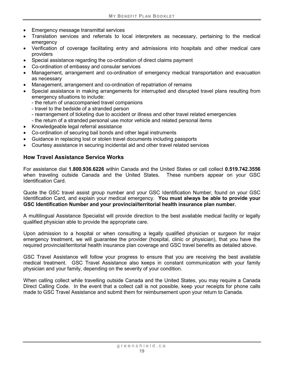- Emergency message transmittal services
- Translation services and referrals to local interpreters as necessary, pertaining to the medical emergency
- Verification of coverage facilitating entry and admissions into hospitals and other medical care providers
- Special assistance regarding the co-ordination of direct claims payment
- Co-ordination of embassy and consular services
- Management, arrangement and co-ordination of emergency medical transportation and evacuation as necessary
- Management, arrangement and co-ordination of repatriation of remains
- Special assistance in making arrangements for interrupted and disrupted travel plans resulting from emergency situations to include:
	- the return of unaccompanied travel companions
	- travel to the bedside of a stranded person
	- rearrangement of ticketing due to accident or illness and other travel related emergencies
	- the return of a stranded personal use motor vehicle and related personal items
- Knowledgeable legal referral assistance
- Co-ordination of securing bail bonds and other legal instruments
- Guidance in replacing lost or stolen travel documents including passports
- Courtesy assistance in securing incidental aid and other travel related services

#### **How Travel Assistance Service Works**

For assistance dial **1.800.936.6226** within Canada and the United States or call collect **0.519.742.3556**  when traveling outside Canada and the United States. These numbers appear on your GSC Identification Card.

Quote the GSC travel assist group number and your GSC Identification Number, found on your GSC Identification Card, and explain your medical emergency. **You must always be able to provide your GSC Identification Number and your provincial/territorial health insurance plan number.**

A multilingual Assistance Specialist will provide direction to the best available medical facility or legally qualified physician able to provide the appropriate care.

Upon admission to a hospital or when consulting a legally qualified physician or surgeon for major emergency treatment, we will guarantee the provider (hospital, clinic or physician), that you have the required provincial/territorial health insurance plan coverage and GSC travel benefits as detailed above.

GSC Travel Assistance will follow your progress to ensure that you are receiving the best available medical treatment. GSC Travel Assistance also keeps in constant communication with your family physician and your family, depending on the severity of your condition.

When calling collect while travelling outside Canada and the United States, you may require a Canada Direct Calling Code. In the event that a collect call is not possible, keep your receipts for phone calls made to GSC Travel Assistance and submit them for reimbursement upon your return to Canada.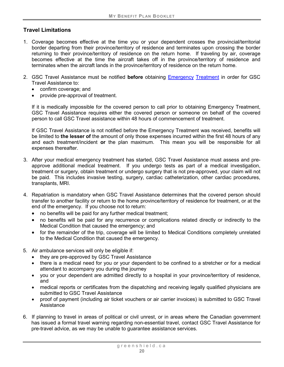# **Travel Limitations**

- 1. Coverage becomes effective at the time you or your dependent crosses the provincial/territorial border departing from their province/territory of residence and terminates upon crossing the border returning to their province/territory of residence on the return home. If traveling by air, coverage becomes effective at the time the aircraft takes off in the province/territory of residence and terminates when the aircraft lands in the province/territory of residence on the return home.
- 2. GSC Travel Assistance must be notified **before** obtaining Emergency [Treatment](#page-21-0) in order for GSC Travel Assistance to:
	- confirm coverage; and
	- provide pre-approval of treatment.

If it is medically impossible for the covered person to call prior to obtaining Emergency Treatment, GSC Travel Assistance requires either the covered person or someone on behalf of the covered person to call GSC Travel assistance within 48 hours of commencement of treatment.

If GSC Travel Assistance is not notified before the Emergency Treatment was received, benefits will be limited to **the lesser of** the amount of only those expenses incurred within the first 48 hours of any and each treatment/incident **or** the plan maximum. This mean you will be responsible for all expenses thereafter.

- 3. After your medical emergency treatment has started, GSC Travel Assistance must assess and preapprove additional medical treatment. If you undergo tests as part of a medical investigation, treatment or surgery, obtain treatment or undergo surgery that is not pre-approved, your claim will not be paid. This includes invasive testing, surgery, cardiac catheterization, other cardiac procedures, transplants, MRI.
- 4. Repatriation is mandatory when GSC Travel Assistance determines that the covered person should transfer to another facility or return to the home province/territory of residence for treatment, or at the end of the emergency. If you choose not to return:
	- no benefits will be paid for any further medical treatment;
	- no benefits will be paid for any recurrence or complications related directly or indirectly to the Medical Condition that caused the emergency; and
	- for the remainder of the trip, coverage will be limited to Medical Conditions completely unrelated to the Medical Condition that caused the emergency.
- 5. Air ambulance services will only be eligible if:
	- they are pre-approved by GSC Travel Assistance
	- there is a medical need for you or your dependent to be confined to a stretcher or for a medical attendant to accompany you during the journey
	- you or your dependent are admitted directly to a hospital in your province/territory of residence, and
	- medical reports or certificates from the dispatching and receiving legally qualified physicians are submitted to GSC Travel Assistance
	- proof of payment (including air ticket vouchers or air carrier invoices) is submitted to GSC Travel **Assistance**
- 6. If planning to travel in areas of political or civil unrest, or in areas where the Canadian government has issued a formal travel warning regarding non-essential travel, contact GSC Travel Assistance for pre-travel advice, as we may be unable to guarantee assistance services.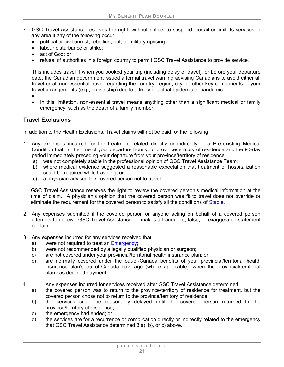- 7. GSC Travel Assistance reserves the right, without notice, to suspend, curtail or limit its services in any area if any of the following occur:
	- political or civil unrest, rebellion, riot, or military uprising;
	- labour disturbance or strike:
	- act of God; or
	- refusal of authorities in a foreign country to permit GSC Travel Assistance to provide service.

This includes travel if when you booked your trip (including delay of travel), or before your departure date, the Canadian government issued a formal travel warning advising Canadians to avoid either all travel or all non-essential travel regarding the country, region, city, or other key components of your travel arrangements (e.g., cruise ship) due to a likely or actual epidemic or pandemic.

- •
- In this limitation, non-essential travel means anything other than a significant medical or family emergency, such as the death of a family member.

# **Travel Exclusions**

In addition to the Health Exclusions, Travel claims will not be paid for the following.

- 1. Any expenses incurred for the treatment related directly or indirectly to a Pre-existing Medical Condition that, at the time of your departure from your province/territory of residence and the 90-day period immediately preceding your departure from your province/territory of residence:
	- a) was not completely stable in the professional opinion of GSC Travel Assistance Team;
	- b) where medical evidence suggested a reasonable expectation that treatment or hospitalization could be required while traveling; or
	- c) a physician advised the covered person not to travel.

GSC Travel Assistance reserves the right to review the covered person's medical information at the time of claim. A physician's opinion that the covered person was fit to travel does not override or eliminate the requirement for the covered person to satisfy all the conditions of [Stable.](#page-20-1)

- 2. Any expenses submitted if the covered person or anyone acting on behalf of a covered person attempts to deceive GSC Travel Assistance, or makes a fraudulent, false, or exaggerated statement or claim.
- 3. Any expenses incurred for any services received that:
	- a) were not required to treat an Emergency:
	- b) were not recommended by a legally qualified physician or surgeon;
	- c) are not covered under your provincial/territorial health insurance plan; or
	- d) are normally covered under the out-of-Canada benefits of your provincial/territorial health insurance plan's out-of-Canada coverage (where applicable), when the provincial/territorial plan has declined payment;
- 4. Any expenses incurred for services received after GSC Travel Assistance determined:
	- a) the covered person was to return to the province/territory of residence for treatment, but the covered person chose not to return to the province/territory of residence;
	- b) the services could be reasonably delayed until the covered person returned to the province/territory of residence;
	- c) the emergency had ended; or
	- d) the services are for a recurrence or complication directly or indirectly related to the emergency that GSC Travel Assistance determined 3.a), b), or c) above.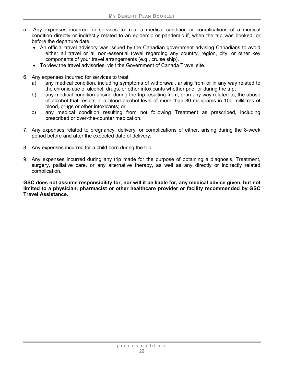- 5. Any expenses incurred for services to treat a medical condition or complications of a medical condition directly or indirectly related to an epidemic or pandemic if, when the trip was booked, or before the departure date:
	- An official travel advisory was issued by the Canadian government advising Canadians to avoid either all travel or all non-essential travel regarding any country, region, city, or other key components of your travel arrangements (e.g., cruise ship).
	- To view the travel advisories, visit the Government of Canada Travel site.
- 6. Any expenses incurred for services to treat:
	- a) any medical condition, including symptoms of withdrawal, arising from or in any way related to the chronic use of alcohol, drugs, or other intoxicants whether prior or during the trip;
	- b) any medical condition arising during the trip resulting from, or in any way related to, the abuse of alcohol that results in a blood alcohol level of more than 80 milligrams in 100 millilitres of blood, drugs or other intoxicants; or
	- c) any medical condition resulting from not following Treatment as prescribed, including prescribed or over-the-counter medication.
- 7. Any expenses related to pregnancy, delivery, or complications of either, arising during the 8-week period before and after the expected date of delivery.
- 8. Any expenses incurred for a child born during the trip.
- 9. Any expenses incurred during any trip made for the purpose of obtaining a diagnosis, Treatment, surgery, palliative care, or any alternative therapy, as well as any directly or indirectly related complication.

**GSC does not assume responsibility for, nor will it be liable for, any medical advice given, but not limited to a physician, pharmacist or other healthcare provider or facility recommended by GSC Travel Assistance.**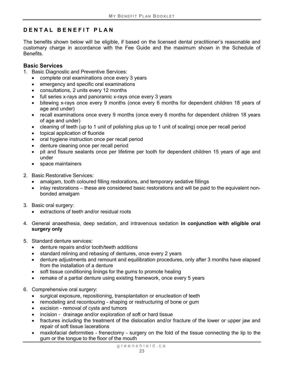# <span id="page-28-0"></span>**DENTAL BENEFIT PLAN**

The benefits shown below will be eligible, if based on the licensed dental practitioner's reasonable and customary charge in accordance with the Fee Guide and the maximum shown in the Schedule of Benefits.

### <span id="page-28-1"></span>**Basic Services**

- 1. Basic Diagnostic and Preventive Services:
	- complete oral examinations once every 3 years
	- emergency and specific oral examinations
	- consultations, 2 units every 12 months
	- full series x-rays and panoramic x-rays once every 3 years
	- bitewing x-rays once every 9 months (once every 6 months for dependent children 18 years of age and under)
	- recall examinations once every 9 months (once every 6 months for dependent children 18 years of age and under)
	- cleaning of teeth (up to 1 unit of polishing plus up to 1 unit of scaling) once per recall period
	- topical application of fluoride
	- oral hygiene instruction once per recall period
	- denture cleaning once per recall period
	- pit and fissure sealants once per lifetime per tooth for dependent children 15 years of age and under
	- space maintainers
- 2. Basic Restorative Services:
	- amalgam, tooth coloured filling restorations, and temporary sedative fillings
	- inlay restorations these are considered basic restorations and will be paid to the equivalent nonbonded amalgam
- 3. Basic oral surgery:
	- extractions of teeth and/or residual roots
- 4. General anaesthesia, deep sedation, and intravenous sedation **in conjunction with eligible oral surgery only**
- 5. Standard denture services:
	- denture repairs and/or tooth/teeth additions
	- standard relining and rebasing of dentures, once every 2 years
	- denture adjustments and remount and equilibration procedures, only after 3 months have elapsed from the installation of a denture
	- soft tissue conditioning linings for the gums to promote healing
	- remake of a partial denture using existing framework, once every 5 years
- 6. Comprehensive oral surgery:
	- surgical exposure, repositioning, transplantation or enucleation of teeth
	- remodeling and recontouring shaping or restructuring of bone or gum
	- excision removal of cysts and tumors
	- incision drainage and/or exploration of soft or hard tissue
	- fractures including the treatment of the dislocation and/or fracture of the lower or upper jaw and repair of soft tissue lacerations
	- maxilofacial deformities frenectomy surgery on the fold of the tissue connecting the lip to the gum or the tongue to the floor of the mouth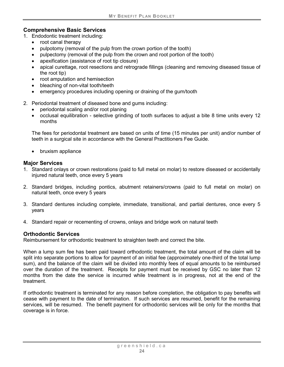#### <span id="page-29-0"></span>**Comprehensive Basic Services**

- 1. Endodontic treatment including:
	- root canal therapy
	- pulpotomy (removal of the pulp from the crown portion of the tooth)
	- pulpectomy (removal of the pulp from the crown and root portion of the tooth)
	- apexification (assistance of root tip closure)
	- apical curettage, root resections and retrograde fillings (cleaning and removing diseased tissue of the root tip)
	- root amputation and hemisection
	- bleaching of non-vital tooth/teeth
	- emergency procedures including opening or draining of the gum/tooth
- 2. Periodontal treatment of diseased bone and gums including:
	- periodontal scaling and/or root planing
	- occlusal equilibration selective grinding of tooth surfaces to adjust a bite 8 time units every 12 months

The fees for periodontal treatment are based on units of time (15 minutes per unit) and/or number of teeth in a surgical site in accordance with the General Practitioners Fee Guide.

• bruxism appliance

#### <span id="page-29-1"></span>**Major Services**

- 1. Standard onlays or crown restorations (paid to full metal on molar) to restore diseased or accidentally injured natural teeth, once every 5 years
- 2. Standard bridges, including pontics, abutment retainers/crowns (paid to full metal on molar) on natural teeth, once every 5 years
- 3. Standard dentures including complete, immediate, transitional, and partial dentures, once every 5 years
- 4. Standard repair or recementing of crowns, onlays and bridge work on natural teeth

#### <span id="page-29-2"></span>**Orthodontic Services**

Reimbursement for orthodontic treatment to straighten teeth and correct the bite.

When a lump sum fee has been paid toward orthodontic treatment, the total amount of the claim will be split into separate portions to allow for payment of an initial fee (approximately one-third of the total lump sum), and the balance of the claim will be divided into monthly fees of equal amounts to be reimbursed over the duration of the treatment. Receipts for payment must be received by GSC no later than 12 months from the date the service is incurred while treatment is in progress, not at the end of the treatment.

If orthodontic treatment is terminated for any reason before completion, the obligation to pay benefits will cease with payment to the date of termination. If such services are resumed, benefit for the remaining services, will be resumed. The benefit payment for orthodontic services will be only for the months that coverage is in force.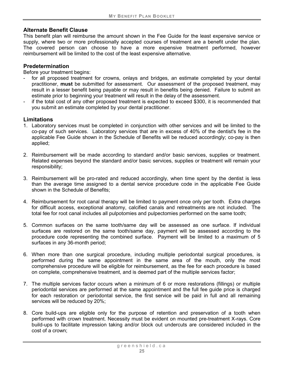#### **Alternate Benefit Clause**

This benefit plan will reimburse the amount shown in the Fee Guide for the least expensive service or supply, where two or more professionally accepted courses of treatment are a benefit under the plan. The covered person can choose to have a more expensive treatment performed, however reimbursement will be limited to the cost of the least expensive alternative.

#### **Predetermination**

Before your treatment begins:

- for all proposed treatment for crowns, onlays and bridges, an estimate completed by your dental practitioner, **must** be submitted for assessment. Our assessment of the proposed treatment, may result in a lesser benefit being payable or may result in benefits being denied. Failure to submit an estimate prior to beginning your treatment will result in the delay of the assessment.
- if the total cost of any other proposed treatment is expected to exceed \$300, it is recommended that you submit an estimate completed by your dental practitioner.

#### **Limitations**

- 1. Laboratory services must be completed in conjunction with other services and will be limited to the co-pay of such services. Laboratory services that are in excess of 40% of the dentist's fee in the applicable Fee Guide shown in the Schedule of Benefits will be reduced accordingly; co-pay is then applied;
- 2. Reimbursement will be made according to standard and/or basic services, supplies or treatment. Related expenses beyond the standard and/or basic services, supplies or treatment will remain your responsibility;
- 3. Reimbursement will be pro-rated and reduced accordingly, when time spent by the dentist is less than the average time assigned to a dental service procedure code in the applicable Fee Guide shown in the Schedule of Benefits;
- 4. Reimbursement for root canal therapy will be limited to payment once only per tooth. Extra charges for difficult access, exceptional anatomy, calcified canals and retreatments are not included. The total fee for root canal includes all pulpotomies and pulpectomies performed on the same tooth;
- 5. Common surfaces on the same tooth/same day will be assessed as one surface. If individual surfaces are restored on the same tooth/same day, payment will be assessed according to the procedure code representing the combined surface. Payment will be limited to a maximum of 5 surfaces in any 36-month period;
- 6. When more than one surgical procedure, including multiple periodontal surgical procedures, is performed during the same appointment in the same area of the mouth, only the most comprehensive procedure will be eligible for reimbursement, as the fee for each procedure is based on complete, comprehensive treatment, and is deemed part of the multiple services factor;
- 7. The multiple services factor occurs when a minimum of 6 or more restorations (fillings) or multiple periodontal services are performed at the same appointment and the full fee guide price is charged for each restoration or periodontal service, the first service will be paid in full and all remaining services will be reduced by 20%;
- 8. Core build-ups are eligible only for the purpose of retention and preservation of a tooth when performed with crown treatment. Necessity must be evident on mounted pre-treatment X-rays. Core build-ups to facilitate impression taking and/or block out undercuts are considered included in the cost of a crown;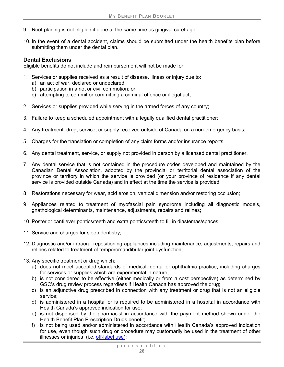- 9. Root planing is not eligible if done at the same time as gingival curettage;
- 10. In the event of a dental accident, claims should be submitted under the health benefits plan before submitting them under the dental plan.

#### **Dental Exclusions**

Eligible benefits do not include and reimbursement will not be made for:

- 1. Services or supplies received as a result of disease, illness or injury due to:
	- a) an act of war, declared or undeclared;
	- b) participation in a riot or civil commotion; or
	- c) attempting to commit or committing a criminal offence or illegal act;
- 2. Services or supplies provided while serving in the armed forces of any country;
- 3. Failure to keep a scheduled appointment with a legally qualified dental practitioner;
- 4. Any treatment, drug, service, or supply received outside of Canada on a non-emergency basis;
- 5. Charges for the translation or completion of any claim forms and/or insurance reports;
- 6. Any dental treatment, service, or supply not provided in person by a licensed dental practitioner.
- 7. Any dental service that is not contained in the procedure codes developed and maintained by the Canadian Dental Association, adopted by the provincial or territorial dental association of the province or territory in which the service is provided (or your province of residence if any dental service is provided outside Canada) and in effect at the time the service is provided;
- 8. Restorations necessary for wear, acid erosion, vertical dimension and/or restoring occlusion;
- 9. Appliances related to treatment of myofascial pain syndrome including all diagnostic models, gnathological determinants, maintenance, adjustments, repairs and relines;
- 10. Posterior cantilever pontics/teeth and extra pontics/teeth to fill in diastemas/spaces;
- 11. Service and charges for sleep dentistry;
- 12. Diagnostic and/or intraoral repositioning appliances including maintenance, adjustments, repairs and relines related to treatment of temporomandibular joint dysfunction;
- 13. Any specific treatment or drug which:
	- a) does not meet accepted standards of medical, dental or ophthalmic practice, including charges for services or supplies which are experimental in nature;
	- b) is not considered to be effective (either medically or from a cost perspective) as determined by GSC's drug review process regardless if Health Canada has approved the drug;
	- c) is an adjunctive drug prescribed in connection with any treatment or drug that is not an eligible service;
	- d) is administered in a hospital or is required to be administered in a hospital in accordance with Health Canada's approved indication for use;
	- e) is not dispensed by the pharmacist in accordance with the payment method shown under the Health Benefit Plan Prescription Drugs benefit;
	- f) is not being used and/or administered in accordance with Health Canada's approved indication for use, even though such drug or procedure may customarily be used in the treatment of other illnesses or injuries (i.e. [off-label use\)](#page-11-1);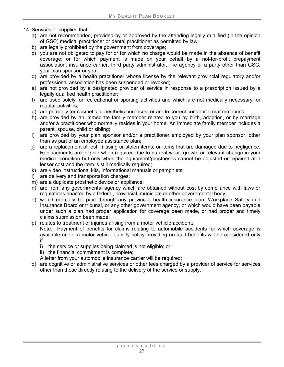- 14. Services or supplies that:
	- a) are not recommended, provided by or approved by the attending legally qualified (in the opinion of GSC) medical practitioner or dental practitioner as permitted by law;
	- b) are legally prohibited by the government from coverage;
	- c) you are not obligated to pay for or for which no charge would be made in the absence of benefit coverage; or for which payment is made on your behalf by a not-for-profit prepayment association, insurance carrier, third party administrator, like agency or a party other than GSC, your plan sponsor or you;
	- d) are provided by a health practitioner whose license by the relevant provincial regulatory and/or professional association has been suspended or revoked;
	- e) are not provided by a designated provider of service in response to a prescription issued by a legally qualified health practitioner;
	- f) are used solely for recreational or sporting activities and which are not medically necessary for regular activities;
	- g) are primarily for cosmetic or aesthetic purposes, or are to correct congenital malformations;
	- h) are provided by an immediate family member related to you by birth, adoption, or by marriage and/or a practitioner who normally resides in your home. An immediate family member includes a parent, spouse, child or sibling;
	- i) are provided by your plan sponsor and/or a practitioner employed by your plan sponsor, other than as part of an employee assistance plan;
	- j) are a replacement of lost, missing or stolen items, or items that are damaged due to negligence. Replacements are eligible when required due to natural wear, growth or relevant change in your medical condition but only when the equipment/prostheses cannot be adjusted or repaired at a lesser cost and the item is still medically required;
	- k) are video instructional kits, informational manuals or pamphlets;
	- l) are delivery and transportation charges;
	- m) are a duplicate prosthetic device or appliance;
	- n) are from any governmental agency which are obtained without cost by compliance with laws or regulations enacted by a federal, provincial, municipal or other governmental body;
	- o) would normally be paid through any provincial health insurance plan, Workplace Safety and Insurance Board or tribunal, or any other government agency, or which would have been payable under such a plan had proper application for coverage been made, or had proper and timely claims submission been made;
	- p) relates to treatment of injuries arising from a motor vehicle accident;

Note: Payment of benefits for claims relating to automobile accidents for which coverage is available under a motor vehicle liability policy providing no-fault benefits will be considered only if–

- i) the service or supplies being claimed is not eligible; or
- ii) the financial commitment is complete;
- A letter from your automobile insurance carrier will be required;
- q) are cognitive or administrative services or other fees charged by a provider of service for services other than those directly relating to the delivery of the service or supply.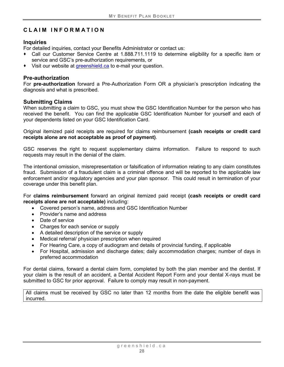# <span id="page-33-0"></span>**CLAIM INFORMATION**

#### **Inquiries**

For detailed inquiries, contact your Benefits Administrator or contact us:

- Call our Customer Service Centre at 1.888.711.1119 to determine eligibility for a specific item or service and GSC's pre-authorization requirements, or
- ◆ Visit our website at [greenshield.ca](http://www.greenshield.ca/) to e-mail your question.

#### **Pre-authorization**

For **pre-authorization** forward a Pre-Authorization Form OR a physician's prescription indicating the diagnosis and what is prescribed.

#### **Submitting Claims**

When submitting a claim to GSC, you must show the GSC Identification Number for the person who has received the benefit. You can find the applicable GSC Identification Number for yourself and each of your dependents listed on your GSC Identification Card.

Original itemized paid receipts are required for claims reimbursement **(cash receipts or credit card receipts alone are not acceptable as proof of payment)**.

GSC reserves the right to request supplementary claims information. Failure to respond to such requests may result in the denial of the claim.

The intentional omission, misrepresentation or falsification of information relating to any claim constitutes fraud. Submission of a fraudulent claim is a criminal offence and will be reported to the applicable law enforcement and/or regulatory agencies and your plan sponsor. This could result in termination of your coverage under this benefit plan.

For **claims reimbursement** forward an original itemized paid receipt **(cash receipts or credit card receipts alone are not acceptable)** including:

- Covered person's name, address and GSC Identification Number
- Provider's name and address
- Date of service
- Charges for each service or supply
- A detailed description of the service or supply
- Medical referral/ physician prescription when required
- For Hearing Care, a copy of audiogram and details of provincial funding, if applicable
- For Hospital, admission and discharge dates; daily accommodation charges; number of days in preferred accommodation

For dental claims, forward a dental claim form, completed by both the plan member and the dentist. If your claim is the result of an accident, a Dental Accident Report Form and your dental X-rays must be submitted to GSC for prior approval. Failure to comply may result in non-payment.

All claims must be received by GSC no later than 12 months from the date the eligible benefit was incurred.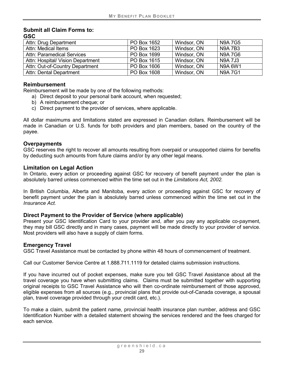#### **Submit all Claim Forms to: GSC**

| Attn: Drug Department             | PO Box 1652 | Windsor, ON | <b>N9A 7G5</b> |
|-----------------------------------|-------------|-------------|----------------|
| Attn: Medical Items               | PO Box 1623 | Windsor, ON | <b>N9A7B3</b>  |
| <b>Attn: Paramedical Services</b> | PO Box 1699 | Windsor, ON | <b>N9A7G6</b>  |
| Attn: Hospital/ Vision Department | PO Box 1615 | Windsor, ON | <b>N9A 7J3</b> |
| Attn: Out-of-Country Department   | PO Box 1606 | Windsor, ON | N9A 6W1        |
| <b>Attn: Dental Department</b>    | PO Box 1608 | Windsor, ON | <b>N9A7G1</b>  |

#### **Reimbursement**

Reimbursement will be made by one of the following methods:

- a) Direct deposit to your personal bank account, when requested;
- b) A reimbursement cheque; or
- c) Direct payment to the provider of services, where applicable.

All dollar maximums and limitations stated are expressed in Canadian dollars. Reimbursement will be made in Canadian or U.S. funds for both providers and plan members, based on the country of the payee.

#### **Overpayments**

GSC reserves the right to recover all amounts resulting from overpaid or unsupported claims for benefits by deducting such amounts from future claims and/or by any other legal means.

#### **Limitation on Legal Action**

In Ontario, every action or proceeding against GSC for recovery of benefit payment under the plan is absolutely barred unless commenced within the time set out in the *Limitations Act, 2002.*

In British Columbia, Alberta and Manitoba, every action or proceeding against GSC for recovery of benefit payment under the plan is absolutely barred unless commenced within the time set out in the *Insurance Act.*

#### **Direct Payment to the Provider of Service (where applicable)**

Present your GSC Identification Card to your provider and, after you pay any applicable co-payment, they may bill GSC directly and in many cases, payment will be made directly to your provider of service. Most providers will also have a supply of claim forms.

#### **Emergency Travel**

GSC Travel Assistance must be contacted by phone within 48 hours of commencement of treatment.

Call our Customer Service Centre at 1.888.711.1119 for detailed claims submission instructions.

If you have incurred out of pocket expenses, make sure you tell GSC Travel Assistance about all the travel coverage you have when submitting claims. Claims must be submitted together with supporting original receipts to GSC Travel Assistance who will then co-ordinate reimbursement of those approved, eligible expenses from all sources (e.g., provincial plans that provide out-of-Canada coverage, a spousal plan, travel coverage provided through your credit card, etc.).

To make a claim, submit the patient name, provincial health insurance plan number, address and GSC Identification Number with a detailed statement showing the services rendered and the fees charged for each service.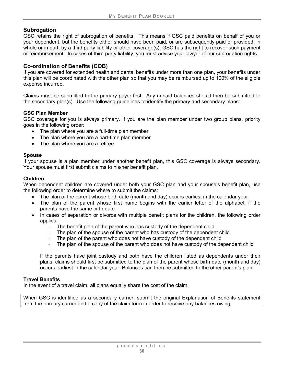#### **Subrogation**

GSC retains the right of subrogation of benefits. This means if GSC paid benefits on behalf of you or your dependent, but the benefits either should have been paid, or are subsequently paid or provided, in whole or in part, by a third party liability or other coverage(s), GSC has the right to recover such payment or reimbursement. In cases of third party liability, you must advise your lawyer of our subrogation rights.

#### **Co-ordination of Benefits (COB)**

If you are covered for extended health and dental benefits under more than one plan, your benefits under this plan will be coordinated with the other plan so that you may be reimbursed up to 100% of the eligible expense incurred.

Claims must be submitted to the primary payer first. Any unpaid balances should then be submitted to the secondary plan(s). Use the following guidelines to identify the primary and secondary plans:

#### **GSC Plan Member**

GSC coverage for you is always primary. If you are the plan member under two group plans, priority goes in the following order:

- The plan where you are a full-time plan member
- The plan where you are a part-time plan member
- The plan where you are a retiree

#### **Spouse**

If your spouse is a plan member under another benefit plan, this GSC coverage is always secondary. Your spouse must first submit claims to his/her benefit plan.

#### **Children**

When dependent children are covered under both your GSC plan and your spouse's benefit plan, use the following order to determine where to submit the claims:

- The plan of the parent whose birth date (month and day) occurs earliest in the calendar year
- The plan of the parent whose first name begins with the earlier letter of the alphabet, if the parents have the same birth date
- In cases of separation or divorce with multiple benefit plans for the children, the following order applies:
	- The benefit plan of the parent who has custody of the dependent child
	- The plan of the spouse of the parent who has custody of the dependent child
	- The plan of the parent who does not have custody of the dependent child
	- The plan of the spouse of the parent who does not have custody of the dependent child

If the parents have joint custody and both have the children listed as dependents under their plans, claims should first be submitted to the plan of the parent whose birth date (month and day) occurs earliest in the calendar year. Balances can then be submitted to the other parent's plan.

#### **Travel Benefits**

In the event of a travel claim, all plans equally share the cost of the claim.

When GSC is identified as a secondary carrier, submit the original Explanation of Benefits statement from the primary carrier and a copy of the claim form in order to receive any balances owing.